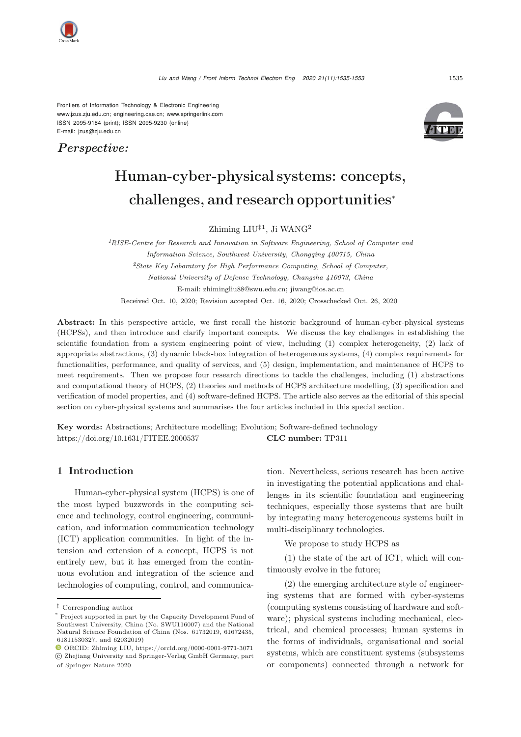Frontiers of Information Technology & Electronic Engineering [www.jzus.zju.edu.cn;](www.jzus.zju.edu.cn) [engineering.cae.cn;](engineering.cae.cn)<www.springerlink.com> ISSN 2095-9184 (print); ISSN 2095-9230 (online) E-mail: jzus@zju.edu.cn

*Perspective:*



# Human-cyber-physical systems: concepts, challenges, and research opportunities<sup>∗</sup>

Zhiming LIU*‡*<sup>1</sup>, Ji WANG<sup>2</sup>

*<sup>1</sup>RISE-Centre for Research and Innovation in Software Engineering, School of Computer and Information Science, Southwest University, Chongqing 400715, China <sup>2</sup>State Key Laboratory for High Performance Computing, School of Computer, National University of Defense Technology, Changsha 410073, China* E-mail: zhimingliu88@swu.edu.cn; jiwang@ios.ac.cn Received Oct. 10, 2020; Revision accepted Oct. 16, 2020; Crosschecked Oct. 26, 2020

Abstract: In this perspective article, we first recall the historic background of human-cyber-physical systems (HCPSs), and then introduce and clarify important concepts. We discuss the key challenges in establishing the scientific foundation from a system engineering point of view, including (1) complex heterogeneity, (2) lack of appropriate abstractions, (3) dynamic black-box integration of heterogeneous systems, (4) complex requirements for functionalities, performance, and quality of services, and (5) design, implementation, and maintenance of HCPS to meet requirements. Then we propose four research directions to tackle the challenges, including (1) abstractions and computational theory of HCPS, (2) theories and methods of HCPS architecture modelling, (3) specification and verification of model properties, and (4) software-defined HCPS. The article also serves as the editorial of this special section on cyber-physical systems and summarises the four articles included in this special section.

Key words: Abstractions; Architecture modelling; Evolution; Software-defined technology https://doi.org/10.1631/FITEE.2000537 **CLC number:** TP311

## 1 Introduction

Human-cyber-physical system (HCPS) is one of the most hyped buzzwords in the computing science and technology, control engineering, communication, and information communication technology (ICT) application communities. In light of the intension and extension of a concept, HCPS is not entirely new, but it has emerged from the continuous evolution and integration of the science and technologies of computing, control, and communication. Nevertheless, serious research has been active in investigating the potential applications and challenges in its scientific foundation and engineering techniques, especially those systems that are built by integrating many heterogeneous systems built in multi-disciplinary technologies.

We propose to study HCPS as

(1) the state of the art of ICT, which will continuously evolve in the future;

(2) the emerging architecture style of engineering systems that are formed with cyber-systems (computing systems consisting of hardware and software); physical systems including mechanical, electrical, and chemical processes; human systems in the forms of individuals, organisational and social systems, which are constituent systems (subsystems or components) connected through a network for

*<sup>‡</sup>* Corresponding author

<sup>\*</sup> Project supported in part by the Capacity Development Fund of Southwest University, China (No. SWU116007) and the National Natural Science Foundation of China (Nos. 61732019, 61672435, 61811530327, and 62032019)

ORCID: Zhiming LIU, https://orcid.org/0000-0001-9771-3071 c Zhejiang University and Springer-Verlag GmbH Germany, part of Springer Nature 2020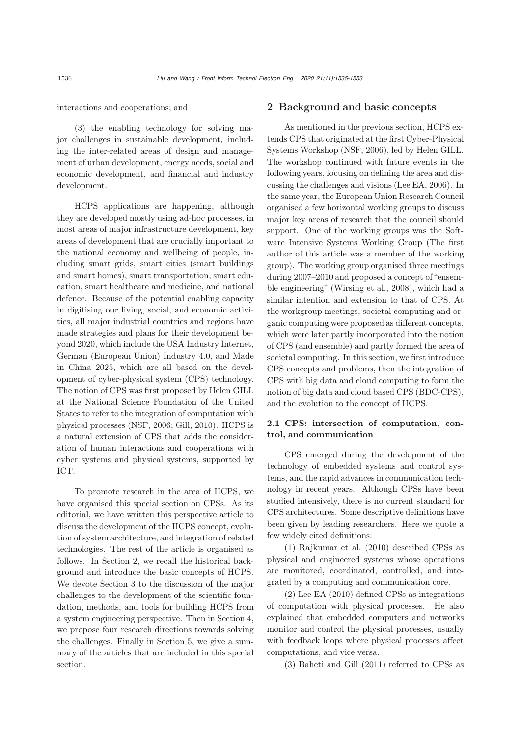#### interactions and cooperations; and

(3) the enabling technology for solving major challenges in sustainable development, including the inter-related areas of design and management of urban development, energy needs, social and economic development, and financial and industry development.

HCPS applications are happening, although they are developed mostly using ad-hoc processes, in most areas of major infrastructure development, key areas of development that are crucially important to the national economy and wellbeing of people, including smart grids, smart cities (smart buildings and smart homes), smart transportation, smart education, smart healthcare and medicine, and national defence. Because of the potential enabling capacity in digitising our living, social, and economic activities, all major industrial countries and regions have made strategies and plans for their development beyond 2020, which include the USA Industry Internet, German (European Union) Industry 4.0, and Made in China 2025, which are all based on the development of cyber-physical system (CPS) technology. The notion of CPS was first proposed by Helen GILL at the National Science Foundation of the United States to refer to the integration of computation with physical processes [\(NSF](#page-17-0), [2006](#page-17-0); [Gill, 2010\)](#page-17-1). HCPS is a natural extension of CPS that adds the consideration of human interactions and cooperations with cyber systems and physical systems, supported by ICT.

To promote research in the area of HCPS, we have organised this special section on CPSs. As its editorial, we have written this perspective article to discuss the development of the HCPS concept, evolution of system architecture, and integration of related technologies. The rest of the article is organised as follows. In Section [2,](#page-1-0) we recall the historical background and introduce the basic concepts of HCPS. We devote Section [3](#page-7-0) to the discussion of the major challenges to the development of the scientific foundation, methods, and tools for building HCPS from a system engineering perspective. Then in Section [4,](#page-11-0) we propose four research directions towards solving the challenges. Finally in Section [5,](#page-15-0) we give a summary of the articles that are included in this special section.

## <span id="page-1-0"></span>2 Background and basic concepts

As mentioned in the previous section, HCPS extends CPS that originated at the first Cyber-Physical Systems Workshop [\(NSF, 2006](#page-17-0)), led by Helen GILL. The workshop continued with future events in the following years, focusing on defining the area and discussing the challenges and visions [\(Lee EA](#page-17-2), [2006\)](#page-17-2). In the same year, the European Union Research Council organised a few horizontal working groups to discuss major key areas of research that the council should support. One of the working groups was the Software Intensive Systems Working Group (The first author of this article was a member of the working group). The working group organised three meetings during 2007–2010 and proposed a concept of "ensemble engineering" [\(Wirsing et al.](#page-18-0), [2008\)](#page-18-0), which had a similar intention and extension to that of CPS. At the workgroup meetings, societal computing and organic computing were proposed as different concepts, which were later partly incorporated into the notion of CPS (and ensemble) and partly formed the area of societal computing. In this section, we first introduce CPS concepts and problems, then the integration of CPS with big data and cloud computing to form the notion of big data and cloud based CPS (BDC-CPS), and the evolution to the concept of HCPS.

## 2.1 CPS: intersection of computation, control, and communication

CPS emerged during the development of the technology of embedded systems and control systems, and the rapid advances in communication technology in recent years. Although CPSs have been studied intensively, there is no current standard for CPS architectures. Some descriptive definitions have been given by leading researchers. Here we quote a few widely cited definitions:

(1) [Rajkumar et al.](#page-18-1) [\(2010\)](#page-18-1) described CPSs as physical and engineered systems whose operations are monitored, coordinated, controlled, and integrated by a computing and communication core.

(2) [Lee EA](#page-17-3) [\(2010\)](#page-17-3) defined CPSs as integrations of computation with physical processes. He also explained that embedded computers and networks monitor and control the physical processes, usually with feedback loops where physical processes affect computations, and vice versa.

(3) [Baheti and Gill](#page-16-0) [\(2011](#page-16-0)) referred to CPSs as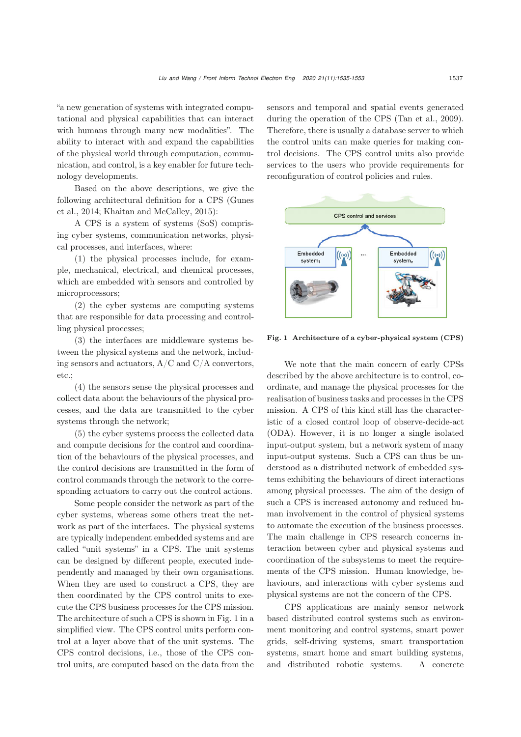"a new generation of systems with integrated computational and physical capabilities that can interact with humans through many new modalities". The ability to interact with and expand the capabilities of the physical world through computation, communication, and control, is a key enabler for future technology developments.

Based on the above descriptions, we give the follo[wing](#page-17-4) [architectural](#page-17-4) [definition](#page-17-4) [for](#page-17-4) [a](#page-17-4) [CPS](#page-17-4) [\(](#page-17-4)Gunes et al., [2014;](#page-17-4) [Khaitan and McCalley, 2015\)](#page-17-5):

A CPS is a system of systems (SoS) comprising cyber systems, communication networks, physical processes, and interfaces, where:

(1) the physical processes include, for example, mechanical, electrical, and chemical processes, which are embedded with sensors and controlled by microprocessors;

(2) the cyber systems are computing systems that are responsible for data processing and controlling physical processes;

(3) the interfaces are middleware systems between the physical systems and the network, including sensors and actuators,  $A/C$  and  $C/A$  convertors, etc.;

(4) the sensors sense the physical processes and collect data about the behaviours of the physical processes, and the data are transmitted to the cyber systems through the network;

(5) the cyber systems process the collected data and compute decisions for the control and coordination of the behaviours of the physical processes, and the control decisions are transmitted in the form of control commands through the network to the corresponding actuators to carry out the control actions.

Some people consider the network as part of the cyber systems, whereas some others treat the network as part of the interfaces. The physical systems are typically independent embedded systems and are called "unit systems" in a CPS. The unit systems can be designed by different people, executed independently and managed by their own organisations. When they are used to construct a CPS, they are then coordinated by the CPS control units to execute the CPS business processes for the CPS mission. The architecture of such a CPS is shown in Fig. [1](#page-2-0) in a simplified view. The CPS control units perform control at a layer above that of the unit systems. The CPS control decisions, i.e., those of the CPS control units, are computed based on the data from the sensors and temporal and spatial events generated during the operation of the CPS [\(Tan et al.](#page-18-2), [2009\)](#page-18-2). Therefore, there is usually a database server to which the control units can make queries for making control decisions. The CPS control units also provide services to the users who provide requirements for reconfiguration of control policies and rules.



<span id="page-2-0"></span>Fig. 1 Architecture of a cyber-physical system (CPS)

We note that the main concern of early CPSs described by the above architecture is to control, coordinate, and manage the physical processes for the realisation of business tasks and processes in the CPS mission. A CPS of this kind still has the characteristic of a closed control loop of observe-decide-act (ODA). However, it is no longer a single isolated input-output system, but a network system of many input-output systems. Such a CPS can thus be understood as a distributed network of embedded systems exhibiting the behaviours of direct interactions among physical processes. The aim of the design of such a CPS is increased autonomy and reduced human involvement in the control of physical systems to automate the execution of the business processes. The main challenge in CPS research concerns interaction between cyber and physical systems and coordination of the subsystems to meet the requirements of the CPS mission. Human knowledge, behaviours, and interactions with cyber systems and physical systems are not the concern of the CPS.

CPS applications are mainly sensor network based distributed control systems such as environment monitoring and control systems, smart power grids, self-driving systems, smart transportation systems, smart home and smart building systems, and distributed robotic systems. A concrete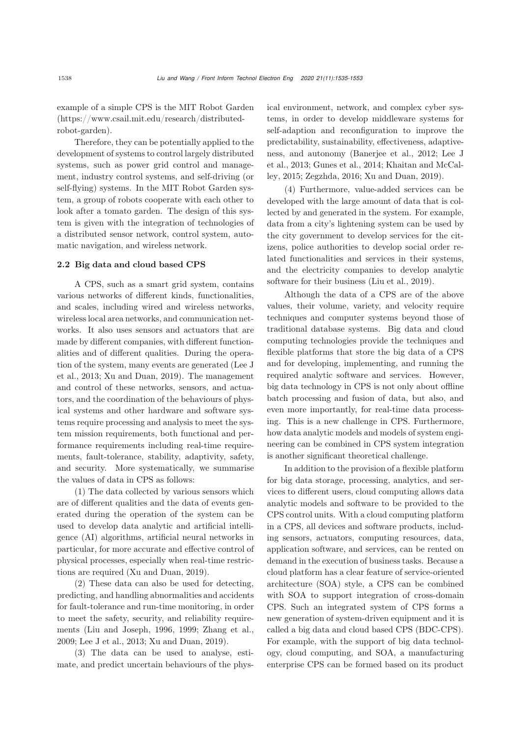example of a simple CPS is the MIT Robot Garden (https://www.csail.mit.edu/research/distributedrobot-garden).

Therefore, they can be potentially applied to the development of systems to control largely distributed systems, such as power grid control and management, industry control systems, and self-driving (or self-flying) systems. In the MIT Robot Garden system, a group of robots cooperate with each other to look after a tomato garden. The design of this system is given with the integration of technologies of a distributed sensor network, control system, automatic navigation, and wireless network.

## <span id="page-3-0"></span>2.2 Big data and cloud based CPS

A CPS, such as a smart grid system, contains various networks of different kinds, functionalities, and scales, including wired and wireless networks, wireless local area networks, and communication networks. It also uses sensors and actuators that are made by different companies, with different functionalities and of different qualities. During the operation [of](#page-17-6) [the](#page-17-6) [system,](#page-17-6) [many](#page-17-6) [events](#page-17-6) [are](#page-17-6) [generated](#page-17-6) [\(](#page-17-6)Lee J et al., [2013](#page-17-6); [Xu and Duan, 2019\)](#page-18-3). The management and control of these networks, sensors, and actuators, and the coordination of the behaviours of physical systems and other hardware and software systems require processing and analysis to meet the system mission requirements, both functional and performance requirements including real-time requirements, fault-tolerance, stability, adaptivity, safety, and security. More systematically, we summarise the values of data in CPS as follows:

(1) The data collected by various sensors which are of different qualities and the data of events generated during the operation of the system can be used to develop data analytic and artificial intelligence (AI) algorithms, artificial neural networks in particular, for more accurate and effective control of physical processes, especially when real-time restrictions are required [\(Xu and Duan, 2019\)](#page-18-3).

(2) These data can also be used for detecting, predicting, and handling abnormalities and accidents for fault-tolerance and run-time monitoring, in order to meet the safety, security, and reliability requirements [\(Liu and Joseph](#page-17-7), [1996](#page-17-7), [1999;](#page-17-8) [Zhang et al.](#page-18-4), [2009](#page-18-4); [Lee J et al., 2013;](#page-17-6) [Xu and Duan](#page-18-3), [2019\)](#page-18-3).

(3) The data can be used to analyse, estimate, and predict uncertain behaviours of the physical environment, network, and complex cyber systems, in order to develop middleware systems for self-adaption and reconfiguration to improve the predictability, sustainability, effectiveness, adaptiveness, [and](#page-17-6) [autonomy](#page-17-6) [\(Banerjee et al.](#page-16-1)[,](#page-17-6) [2012;](#page-16-1) Lee J et [al.,](#page-17-5) [2013;](#page-17-6) [Gunes et al.](#page-17-4)[,](#page-17-5) [2014;](#page-17-4) Khaitan and McCalley, [2015](#page-17-5); [Zegzhda](#page-18-5), [2016;](#page-18-5) [Xu and Duan](#page-18-3), [2019](#page-18-3)).

(4) Furthermore, value-added services can be developed with the large amount of data that is collected by and generated in the system. For example, data from a city's lightening system can be used by the city government to develop services for the citizens, police authorities to develop social order related functionalities and services in their systems, and the electricity companies to develop analytic software for their business [\(Liu et al.](#page-17-9), [2019\)](#page-17-9).

Although the data of a CPS are of the above values, their volume, variety, and velocity require techniques and computer systems beyond those of traditional database systems. Big data and cloud computing technologies provide the techniques and flexible platforms that store the big data of a CPS and for developing, implementing, and running the required analytic software and services. However, big data technology in CPS is not only about offline batch processing and fusion of data, but also, and even more importantly, for real-time data processing. This is a new challenge in CPS. Furthermore, how data analytic models and models of system engineering can be combined in CPS system integration is another significant theoretical challenge.

In addition to the provision of a flexible platform for big data storage, processing, analytics, and services to different users, cloud computing allows data analytic models and software to be provided to the CPS control units. With a cloud computing platform in a CPS, all devices and software products, including sensors, actuators, computing resources, data, application software, and services, can be rented on demand in the execution of business tasks. Because a cloud platform has a clear feature of service-oriented architecture (SOA) style, a CPS can be combined with SOA to support integration of cross-domain CPS. Such an integrated system of CPS forms a new generation of system-driven equipment and it is called a big data and cloud based CPS (BDC-CPS). For example, with the support of big data technology, cloud computing, and SOA, a manufacturing enterprise CPS can be formed based on its product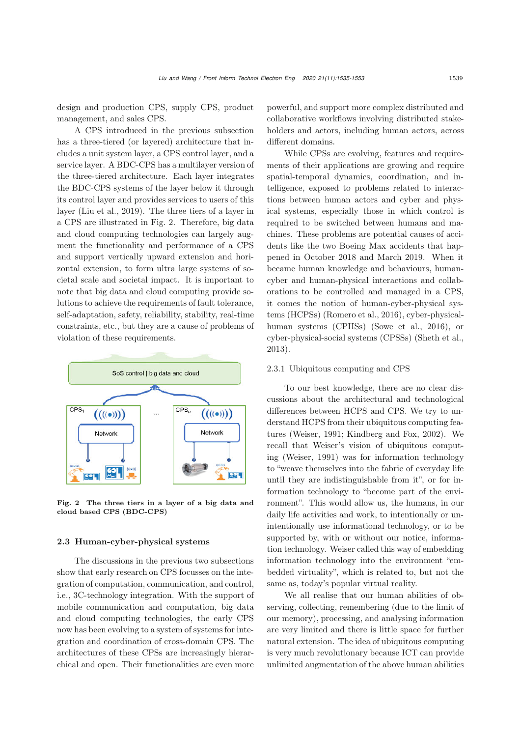design and production CPS, supply CPS, product management, and sales CPS.

A CPS introduced in the previous subsection has a three-tiered (or layered) architecture that includes a unit system layer, a CPS control layer, and a service layer. A BDC-CPS has a multilayer version of the three-tiered architecture. Each layer integrates the BDC-CPS systems of the layer below it through its control layer and provides services to users of this layer [\(Liu et al.](#page-17-9), [2019](#page-17-9)). The three tiers of a layer in a CPS are illustrated in Fig. [2.](#page-4-0) Therefore, big data and cloud computing technologies can largely augment the functionality and performance of a CPS and support vertically upward extension and horizontal extension, to form ultra large systems of societal scale and societal impact. It is important to note that big data and cloud computing provide solutions to achieve the requirements of fault tolerance, self-adaptation, safety, reliability, stability, real-time constraints, etc., but they are a cause of problems of violation of these requirements.



<span id="page-4-0"></span>Fig. 2 The three tiers in a layer of a big data and cloud based CPS (BDC-CPS)

## <span id="page-4-1"></span>2.3 Human-cyber-physical systems

The discussions in the previous two subsections show that early research on CPS focusses on the integration of computation, communication, and control, i.e., 3C-technology integration. With the support of mobile communication and computation, big data and cloud computing technologies, the early CPS now has been evolving to a system of systems for integration and coordination of cross-domain CPS. The architectures of these CPSs are increasingly hierarchical and open. Their functionalities are even more

powerful, and support more complex distributed and collaborative workflows involving distributed stakeholders and actors, including human actors, across different domains.

While CPSs are evolving, features and requirements of their applications are growing and require spatial-temporal dynamics, coordination, and intelligence, exposed to problems related to interactions between human actors and cyber and physical systems, especially those in which control is required to be switched between humans and machines. These problems are potential causes of accidents like the two Boeing Max accidents that happened in October 2018 and March 2019. When it became human knowledge and behaviours, humancyber and human-physical interactions and collaborations to be controlled and managed in a CPS, it comes the notion of human-cyber-physical systems (HCPSs) [\(Romero et al., 2016\)](#page-18-6), cyber-physicalhuman systems (CPHSs) [\(Sowe et al., 2016](#page-18-7)), or cyber-physical-social systems (CPSSs) [\(Sheth et al.](#page-18-8), [2013](#page-18-8)).

## 2.3.1 Ubiquitous computing and CPS

To our best knowledge, there are no clear discussions about the architectural and technological differences between HCPS and CPS. We try to understand HCPS from their ubiquitous computing features [\(Weiser](#page-18-9), [1991](#page-18-9); [Kindberg and Fox, 2002](#page-17-10)). We recall that Weiser's vision of ubiquitous computing [\(Weiser, 1991](#page-18-9)) was for information technology to "weave themselves into the fabric of everyday life until they are indistinguishable from it", or for information technology to "become part of the environment". This would allow us, the humans, in our daily life activities and work, to intentionally or unintentionally use informational technology, or to be supported by, with or without our notice, information technology. Weiser called this way of embedding information technology into the environment "embedded virtuality", which is related to, but not the same as, today's popular virtual reality.

We all realise that our human abilities of observing, collecting, remembering (due to the limit of our memory), processing, and analysing information are very limited and there is little space for further natural extension. The idea of ubiquitous computing is very much revolutionary because ICT can provide unlimited augmentation of the above human abilities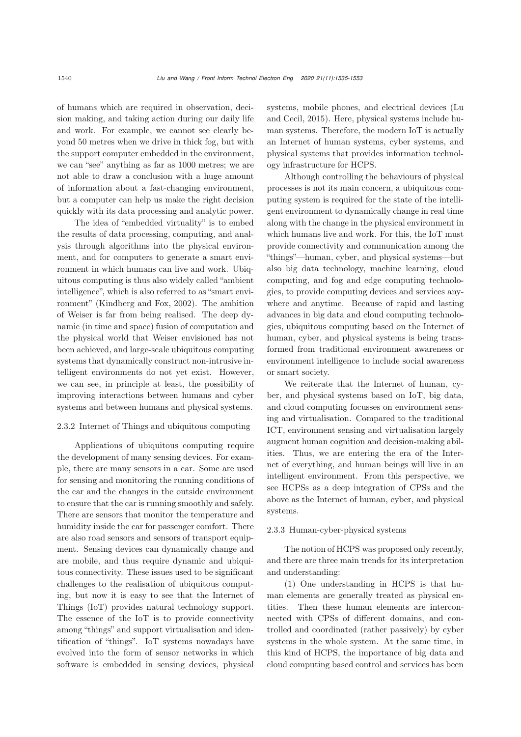of humans which are required in observation, decision making, and taking action during our daily life and work. For example, we cannot see clearly beyond 50 metres when we drive in thick fog, but with the support computer embedded in the environment, we can "see" anything as far as 1000 metres; we are not able to draw a conclusion with a huge amount of information about a fast-changing environment, but a computer can help us make the right decision quickly with its data processing and analytic power.

The idea of "embedded virtuality" is to embed the results of data processing, computing, and analysis through algorithms into the physical environment, and for computers to generate a smart environment in which humans can live and work. Ubiquitous computing is thus also widely called "ambient intelligence", which is also referred to as "smart environment" [\(Kindberg and Fox, 2002\)](#page-17-10). The ambition of Weiser is far from being realised. The deep dynamic (in time and space) fusion of computation and the physical world that Weiser envisioned has not been achieved, and large-scale ubiquitous computing systems that dynamically construct non-intrusive intelligent environments do not yet exist. However, we can see, in principle at least, the possibility of improving interactions between humans and cyber systems and between humans and physical systems.

#### 2.3.2 Internet of Things and ubiquitous computing

Applications of ubiquitous computing require the development of many sensing devices. For example, there are many sensors in a car. Some are used for sensing and monitoring the running conditions of the car and the changes in the outside environment to ensure that the car is running smoothly and safely. There are sensors that monitor the temperature and humidity inside the car for passenger comfort. There are also road sensors and sensors of transport equipment. Sensing devices can dynamically change and are mobile, and thus require dynamic and ubiquitous connectivity. These issues used to be significant challenges to the realisation of ubiquitous computing, but now it is easy to see that the Internet of Things (IoT) provides natural technology support. The essence of the IoT is to provide connectivity among "things" and support virtualisation and identification of "things". IoT systems nowadays have evolved into the form of sensor networks in which software is embedded in sensing devices, physical

systems, [mobile](#page-17-11) [phones,](#page-17-11) [and](#page-17-11) [electrical](#page-17-11) [devices](#page-17-11) [\(](#page-17-11)Lu and Cecil, [2015](#page-17-11)). Here, physical systems include human systems. Therefore, the modern IoT is actually an Internet of human systems, cyber systems, and physical systems that provides information technology infrastructure for HCPS.

Although controlling the behaviours of physical processes is not its main concern, a ubiquitous computing system is required for the state of the intelligent environment to dynamically change in real time along with the change in the physical environment in which humans live and work. For this, the IoT must provide connectivity and communication among the "things"—human, cyber, and physical systems—but also big data technology, machine learning, cloud computing, and fog and edge computing technologies, to provide computing devices and services anywhere and anytime. Because of rapid and lasting advances in big data and cloud computing technologies, ubiquitous computing based on the Internet of human, cyber, and physical systems is being transformed from traditional environment awareness or environment intelligence to include social awareness or smart society.

We reiterate that the Internet of human, cyber, and physical systems based on IoT, big data, and cloud computing focusses on environment sensing and virtualisation. Compared to the traditional ICT, environment sensing and virtualisation largely augment human cognition and decision-making abilities. Thus, we are entering the era of the Internet of everything, and human beings will live in an intelligent environment. From this perspective, we see HCPSs as a deep integration of CPSs and the above as the Internet of human, cyber, and physical systems.

#### 2.3.3 Human-cyber-physical systems

The notion of HCPS was proposed only recently, and there are three main trends for its interpretation and understanding:

(1) One understanding in HCPS is that human elements are generally treated as physical entities. Then these human elements are interconnected with CPSs of different domains, and controlled and coordinated (rather passively) by cyber systems in the whole system. At the same time, in this kind of HCPS, the importance of big data and cloud computing based control and services has been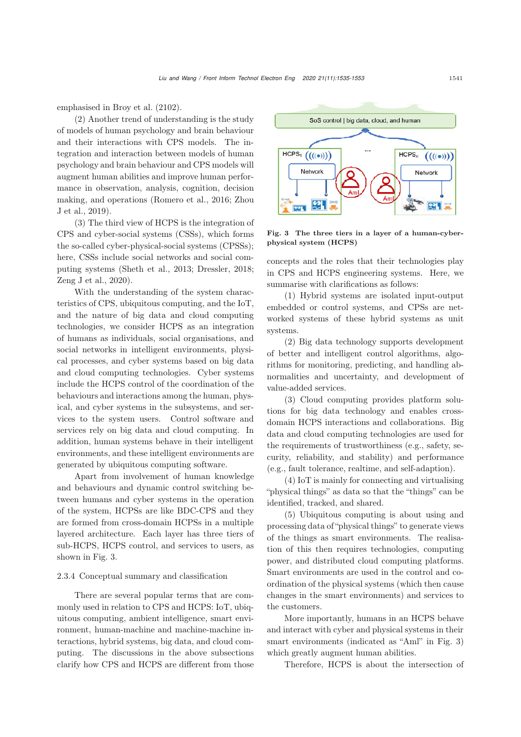emphasised in [Broy et al.](#page-16-2) [\(2102](#page-16-2)).

(2) Another trend of understanding is the study of models of human psychology and brain behaviour and their interactions with CPS models. The integration and interaction between models of human psychology and brain behaviour and CPS models will augment human abilities and improve human performance in observation, analysis, cognition, decision makin[g,](#page-18-10) [and](#page-18-10) [operations](#page-18-10) [\(](#page-18-10)[Romero et al.](#page-18-6)[,](#page-18-10) [2016](#page-18-6)[;](#page-18-10) Zhou J et al., [2019\)](#page-18-10).

(3) The third view of HCPS is the integration of CPS and cyber-social systems (CSSs), which forms the so-called cyber-physical-social systems (CPSSs); here, CSSs include social networks and social computing systems [\(Sheth et al., 2013;](#page-18-8) [Dressler, 2018;](#page-17-12) [Zeng J et al.](#page-18-11), [2020](#page-18-11)).

With the understanding of the system characteristics of CPS, ubiquitous computing, and the IoT, and the nature of big data and cloud computing technologies, we consider HCPS as an integration of humans as individuals, social organisations, and social networks in intelligent environments, physical processes, and cyber systems based on big data and cloud computing technologies. Cyber systems include the HCPS control of the coordination of the behaviours and interactions among the human, physical, and cyber systems in the subsystems, and services to the system users. Control software and services rely on big data and cloud computing. In addition, human systems behave in their intelligent environments, and these intelligent environments are generated by ubiquitous computing software.

Apart from involvement of human knowledge and behaviours and dynamic control switching between humans and cyber systems in the operation of the system, HCPSs are like BDC-CPS and they are formed from cross-domain HCPSs in a multiple layered architecture. Each layer has three tiers of sub-HCPS, HCPS control, and services to users, as shown in Fig. [3.](#page-6-0)

#### 2.3.4 Conceptual summary and classification

There are several popular terms that are commonly used in relation to CPS and HCPS: IoT, ubiquitous computing, ambient intelligence, smart environment, human-machine and machine-machine interactions, hybrid systems, big data, and cloud computing. The discussions in the above subsections clarify how CPS and HCPS are different from those



<span id="page-6-0"></span>Fig. 3 The three tiers in a layer of a human-cyberphysical system (HCPS)

concepts and the roles that their technologies play in CPS and HCPS engineering systems. Here, we summarise with clarifications as follows:

(1) Hybrid systems are isolated input-output embedded or control systems, and CPSs are networked systems of these hybrid systems as unit systems.

(2) Big data technology supports development of better and intelligent control algorithms, algorithms for monitoring, predicting, and handling abnormalities and uncertainty, and development of value-added services.

(3) Cloud computing provides platform solutions for big data technology and enables crossdomain HCPS interactions and collaborations. Big data and cloud computing technologies are used for the requirements of trustworthiness (e.g., safety, security, reliability, and stability) and performance (e.g., fault tolerance, realtime, and self-adaption).

(4) IoT is mainly for connecting and virtualising "physical things" as data so that the "things" can be identified, tracked, and shared.

(5) Ubiquitous computing is about using and processing data of "physical things" to generate views of the things as smart environments. The realisation of this then requires technologies, computing power, and distributed cloud computing platforms. Smart environments are used in the control and coordination of the physical systems (which then cause changes in the smart environments) and services to the customers.

More importantly, humans in an HCPS behave and interact with cyber and physical systems in their smart environments (indicated as "Aml" in Fig. [3\)](#page-6-0) which greatly augment human abilities.

Therefore, HCPS is about the intersection of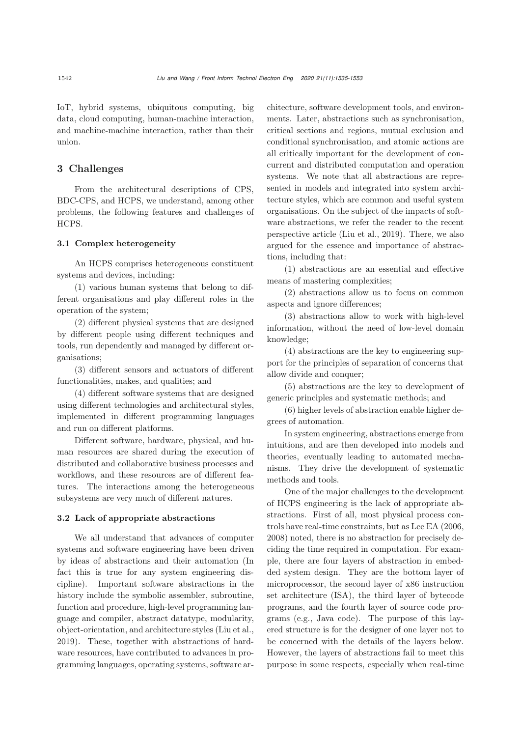IoT, hybrid systems, ubiquitous computing, big data, cloud computing, human-machine interaction, and machine-machine interaction, rather than their union.

## <span id="page-7-0"></span>3 Challenges

From the architectural descriptions of CPS. BDC-CPS, and HCPS, we understand, among other problems, the following features and challenges of HCPS.

## 3.1 Complex heterogeneity

An HCPS comprises heterogeneous constituent systems and devices, including:

(1) various human systems that belong to different organisations and play different roles in the operation of the system;

(2) different physical systems that are designed by different people using different techniques and tools, run dependently and managed by different organisations;

(3) different sensors and actuators of different functionalities, makes, and qualities; and

(4) different software systems that are designed using different technologies and architectural styles, implemented in different programming languages and run on different platforms.

Different software, hardware, physical, and human resources are shared during the execution of distributed and collaborative business processes and workflows, and these resources are of different features. The interactions among the heterogeneous subsystems are very much of different natures.

#### 3.2 Lack of appropriate abstractions

We all understand that advances of computer systems and software engineering have been driven by ideas of abstractions and their automation (In fact this is true for any system engineering discipline). Important software abstractions in the history include the symbolic assembler, subroutine, function and procedure, high-level programming language and compiler, abstract datatype, modularity, object-orientation, and architecture styles [\(Liu et al.](#page-17-9), [2019](#page-17-9)). These, together with abstractions of hardware resources, have contributed to advances in programming languages, operating systems, software architecture, software development tools, and environments. Later, abstractions such as synchronisation, critical sections and regions, mutual exclusion and conditional synchronisation, and atomic actions are all critically important for the development of concurrent and distributed computation and operation systems. We note that all abstractions are represented in models and integrated into system architecture styles, which are common and useful system organisations. On the subject of the impacts of software abstractions, we refer the reader to the recent perspective article [\(Liu et al., 2019\)](#page-17-9). There, we also argued for the essence and importance of abstractions, including that:

(1) abstractions are an essential and effective means of mastering complexities;

(2) abstractions allow us to focus on common aspects and ignore differences;

(3) abstractions allow to work with high-level information, without the need of low-level domain knowledge;

(4) abstractions are the key to engineering support for the principles of separation of concerns that allow divide and conquer;

(5) abstractions are the key to development of generic principles and systematic methods; and

(6) higher levels of abstraction enable higher degrees of automation.

In system engineering, abstractions emerge from intuitions, and are then developed into models and theories, eventually leading to automated mechanisms. They drive the development of systematic methods and tools.

One of the major challenges to the development of HCPS engineering is the lack of appropriate abstractions. First of all, most physical process controls have real-time constraints, but as [Lee EA](#page-17-2) [\(2006,](#page-17-2) [2008](#page-17-13)) noted, there is no abstraction for precisely deciding the time required in computation. For example, there are four layers of abstraction in embedded system design. They are the bottom layer of microprocessor, the second layer of x86 instruction set architecture (ISA), the third layer of bytecode programs, and the fourth layer of source code programs (e.g., Java code). The purpose of this layered structure is for the designer of one layer not to be concerned with the details of the layers below. However, the layers of abstractions fail to meet this purpose in some respects, especially when real-time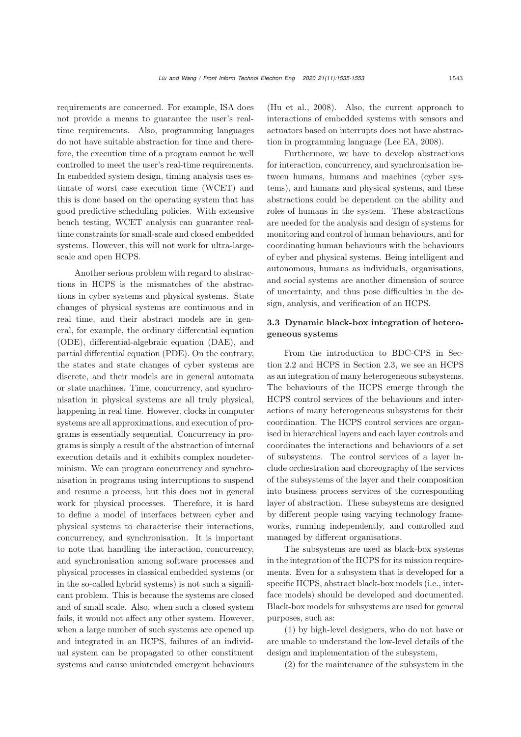requirements are concerned. For example, ISA does not provide a means to guarantee the user's realtime requirements. Also, programming languages do not have suitable abstraction for time and therefore, the execution time of a program cannot be well controlled to meet the user's real-time requirements. In embedded system design, timing analysis uses estimate of worst case execution time (WCET) and this is done based on the operating system that has good predictive scheduling policies. With extensive bench testing, WCET analysis can guarantee realtime constraints for small-scale and closed embedded systems. However, this will not work for ultra-largescale and open HCPS.

Another serious problem with regard to abstractions in HCPS is the mismatches of the abstractions in cyber systems and physical systems. State changes of physical systems are continuous and in real time, and their abstract models are in general, for example, the ordinary differential equation (ODE), differential-algebraic equation (DAE), and partial differential equation (PDE). On the contrary, the states and state changes of cyber systems are discrete, and their models are in general automata or state machines. Time, concurrency, and synchronisation in physical systems are all truly physical, happening in real time. However, clocks in computer systems are all approximations, and execution of programs is essentially sequential. Concurrency in programs is simply a result of the abstraction of internal execution details and it exhibits complex nondeterminism. We can program concurrency and synchronisation in programs using interruptions to suspend and resume a process, but this does not in general work for physical processes. Therefore, it is hard to define a model of interfaces between cyber and physical systems to characterise their interactions, concurrency, and synchronisation. It is important to note that handling the interaction, concurrency, and synchronisation among software processes and physical processes in classical embedded systems (or in the so-called hybrid systems) is not such a significant problem. This is because the systems are closed and of small scale. Also, when such a closed system fails, it would not affect any other system. However, when a large number of such systems are opened up and integrated in an HCPS, failures of an individual system can be propagated to other constituent systems and cause unintended emergent behaviours [\(Hu et al., 2008](#page-17-14)). Also, the current approach to interactions of embedded systems with sensors and actuators based on interrupts does not have abstraction in programming language [\(Lee EA, 2008\)](#page-17-13).

Furthermore, we have to develop abstractions for interaction, concurrency, and synchronisation between humans, humans and machines (cyber systems), and humans and physical systems, and these abstractions could be dependent on the ability and roles of humans in the system. These abstractions are needed for the analysis and design of systems for monitoring and control of human behaviours, and for coordinating human behaviours with the behaviours of cyber and physical systems. Being intelligent and autonomous, humans as individuals, organisations, and social systems are another dimension of source of uncertainty, and thus pose difficulties in the design, analysis, and verification of an HCPS.

# 3.3 Dynamic black-box integration of heterogeneous systems

From the introduction to BDC-CPS in Section [2.2](#page-3-0) and HCPS in Section [2.3,](#page-4-1) we see an HCPS as an integration of many heterogeneous subsystems. The behaviours of the HCPS emerge through the HCPS control services of the behaviours and interactions of many heterogeneous subsystems for their coordination. The HCPS control services are organised in hierarchical layers and each layer controls and coordinates the interactions and behaviours of a set of subsystems. The control services of a layer include orchestration and choreography of the services of the subsystems of the layer and their composition into business process services of the corresponding layer of abstraction. These subsystems are designed by different people using varying technology frameworks, running independently, and controlled and managed by different organisations.

The subsystems are used as black-box systems in the integration of the HCPS for its mission requirements. Even for a subsystem that is developed for a specific HCPS, abstract black-box models (i.e., interface models) should be developed and documented. Black-box models for subsystems are used for general purposes, such as:

(1) by high-level designers, who do not have or are unable to understand the low-level details of the design and implementation of the subsystem,

(2) for the maintenance of the subsystem in the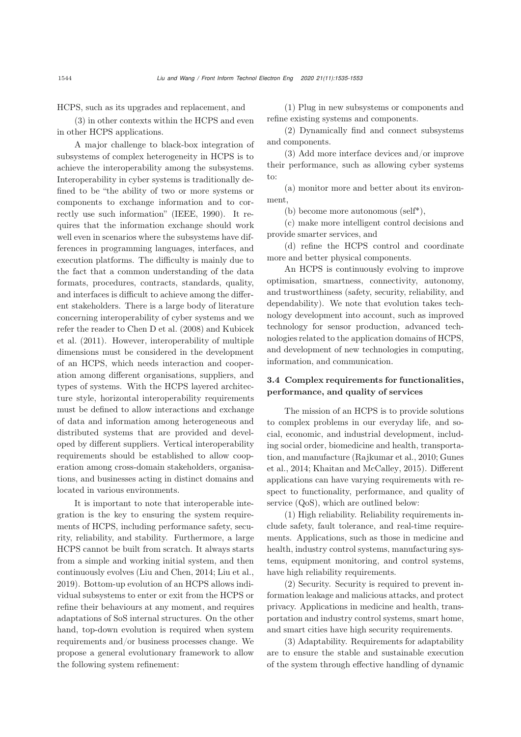HCPS, such as its upgrades and replacement, and

(3) in other contexts within the HCPS and even in other HCPS applications.

A major challenge to black-box integration of subsystems of complex heterogeneity in HCPS is to achieve the interoperability among the subsystems. Interoperability in cyber systems is traditionally defined to be "the ability of two or more systems or components to exchange information and to correctly use such information" [\(IEEE,](#page-17-15) [1990](#page-17-15)). It requires that the information exchange should work well even in scenarios where the subsystems have differences in programming languages, interfaces, and execution platforms. The difficulty is mainly due to the fact that a common understanding of the data formats, procedures, contracts, standards, quality, and interfaces is difficult to achieve among the different stakeholders. There is a large body of literature concerning interoperability of cyber systems and we refer [the](#page-17-16) [reader](#page-17-16) [to](#page-17-16) [Chen D et al.](#page-16-3) [\(2008](#page-16-3)[\)](#page-17-16) [and](#page-17-16) Kubicek et al. [\(2011\)](#page-17-16). However, interoperability of multiple dimensions must be considered in the development of an HCPS, which needs interaction and cooperation among different organisations, suppliers, and types of systems. With the HCPS layered architecture style, horizontal interoperability requirements must be defined to allow interactions and exchange of data and information among heterogeneous and distributed systems that are provided and developed by different suppliers. Vertical interoperability requirements should be established to allow cooperation among cross-domain stakeholders, organisations, and businesses acting in distinct domains and located in various environments.

It is important to note that interoperable integration is the key to ensuring the system requirements of HCPS, including performance safety, security, reliability, and stability. Furthermore, a large HCPS cannot be built from scratch. It always starts from a simple and working initial system, and then continuously evolves [\(Liu and Chen](#page-17-17), [2014;](#page-17-17) [Liu et al.](#page-17-9), [2019](#page-17-9)). Bottom-up evolution of an HCPS allows individual subsystems to enter or exit from the HCPS or refine their behaviours at any moment, and requires adaptations of SoS internal structures. On the other hand, top-down evolution is required when system requirements and/or business processes change. We propose a general evolutionary framework to allow the following system refinement:

(1) Plug in new subsystems or components and refine existing systems and components.

(2) Dynamically find and connect subsystems and components.

(3) Add more interface devices and/or improve their performance, such as allowing cyber systems to:

(a) monitor more and better about its environment,

(b) become more autonomous (self\*),

(c) make more intelligent control decisions and provide smarter services, and

(d) refine the HCPS control and coordinate more and better physical components.

An HCPS is continuously evolving to improve optimisation, smartness, connectivity, autonomy, and trustworthiness (safety, security, reliability, and dependability). We note that evolution takes technology development into account, such as improved technology for sensor production, advanced technologies related to the application domains of HCPS, and development of new technologies in computing, information, and communication.

# 3.4 Complex requirements for functionalities, performance, and quality of services

The mission of an HCPS is to provide solutions to complex problems in our everyday life, and social, economic, and industrial development, including social order, biomedicine and health, transportation, [and](#page-17-4) [manufacture](#page-17-4) [\(Rajkumar et al.](#page-18-1)[,](#page-17-4) [2010](#page-18-1)[;](#page-17-4) Gunes et al., [2014](#page-17-4); [Khaitan and McCalley, 2015\)](#page-17-5). Different applications can have varying requirements with respect to functionality, performance, and quality of service (QoS), which are outlined below:

(1) High reliability. Reliability requirements include safety, fault tolerance, and real-time requirements. Applications, such as those in medicine and health, industry control systems, manufacturing systems, equipment monitoring, and control systems, have high reliability requirements.

(2) Security. Security is required to prevent information leakage and malicious attacks, and protect privacy. Applications in medicine and health, transportation and industry control systems, smart home, and smart cities have high security requirements.

(3) Adaptability. Requirements for adaptability are to ensure the stable and sustainable execution of the system through effective handling of dynamic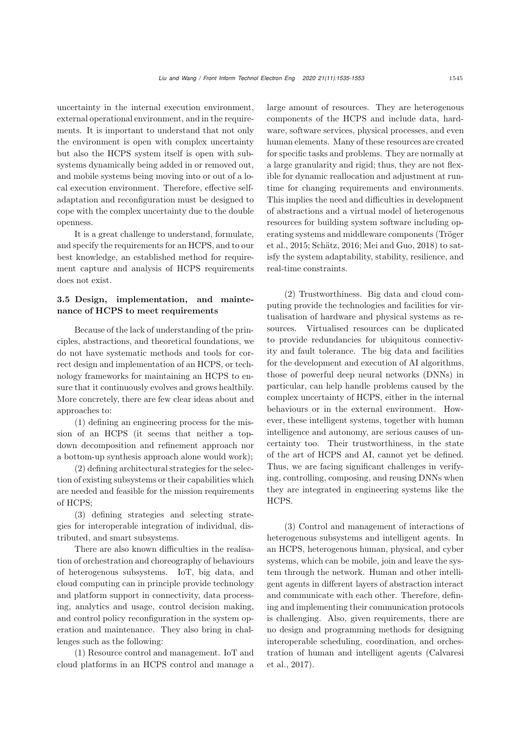uncertainty in the internal execution environment, external operational environment, and in the requirements. It is important to understand that not only the environment is open with complex uncertainty but also the HCPS system itself is open with subsystems dynamically being added in or removed out, and mobile systems being moving into or out of a local execution environment. Therefore, effective selfadaptation and reconfiguration must be designed to cope with the complex uncertainty due to the double openness.

It is a great challenge to understand, formulate, and specify the requirements for an HCPS, and to our best knowledge, an established method for requirement capture and analysis of HCPS requirements does not exist.

# 3.5 Design, implementation, and maintenance of HCPS to meet requirements

Because of the lack of understanding of the principles, abstractions, and theoretical foundations, we do not have systematic methods and tools for correct design and implementation of an HCPS, or technology frameworks for maintaining an HCPS to ensure that it continuously evolves and grows healthily. More concretely, there are few clear ideas about and approaches to:

(1) defining an engineering process for the mission of an HCPS (it seems that neither a topdown decomposition and refinement approach nor a bottom-up synthesis approach alone would work);

(2) defining architectural strategies for the selection of existing subsystems or their capabilities which are needed and feasible for the mission requirements of HCPS;

(3) defining strategies and selecting strategies for interoperable integration of individual, distributed, and smart subsystems.

There are also known difficulties in the realisation of orchestration and choreography of behaviours of heterogenous subsystems. IoT, big data, and cloud computing can in principle provide technology and platform support in connectivity, data processing, analytics and usage, control decision making, and control policy reconfiguration in the system operation and maintenance. They also bring in challenges such as the following:

(1) Resource control and management. IoT and cloud platforms in an HCPS control and manage a

large amount of resources. They are heterogenous components of the HCPS and include data, hardware, software services, physical processes, and even human elements. Many of these resources are created for specific tasks and problems. They are normally at a large granularity and rigid; thus, they are not flexible for dynamic reallocation and adjustment at runtime for changing requirements and environments. This implies the need and difficulties in development of abstractions and a virtual model of heterogenous resources for building system software including operati[ng](#page-18-12) [systems](#page-18-12) [and](#page-18-12) [middleware](#page-18-12) [components](#page-18-12) [\(](#page-18-12)Tröger et al., [2015;](#page-18-12) [Schätz](#page-18-13), [2016;](#page-18-13) [Mei and Guo](#page-17-18), [2018\)](#page-17-18) to satisfy the system adaptability, stability, resilience, and real-time constraints.

(2) Trustworthiness. Big data and cloud computing provide the technologies and facilities for virtualisation of hardware and physical systems as resources. Virtualised resources can be duplicated to provide redundancies for ubiquitous connectivity and fault tolerance. The big data and facilities for the development and execution of AI algorithms, those of powerful deep neural networks (DNNs) in particular, can help handle problems caused by the complex uncertainty of HCPS, either in the internal behaviours or in the external environment. However, these intelligent systems, together with human intelligence and autonomy, are serious causes of uncertainty too. Their trustworthiness, in the state of the art of HCPS and AI, cannot yet be defined. Thus, we are facing significant challenges in verifying, controlling, composing, and reusing DNNs when they are integrated in engineering systems like the HCPS.

(3) Control and management of interactions of heterogenous subsystems and intelligent agents. In an HCPS, heterogenous human, physical, and cyber systems, which can be mobile, join and leave the system through the network. Human and other intelligent agents in different layers of abstraction interact and communicate with each other. Therefore, defining and implementing their communication protocols is challenging. Also, given requirements, there are no design and programming methods for designing interoperable scheduling, coordination, and orchestrati[on](#page-16-4) [of](#page-16-4) [human](#page-16-4) [and](#page-16-4) [intelligent](#page-16-4) [agents](#page-16-4) [\(](#page-16-4)Calvaresi et al., [2017\)](#page-16-4).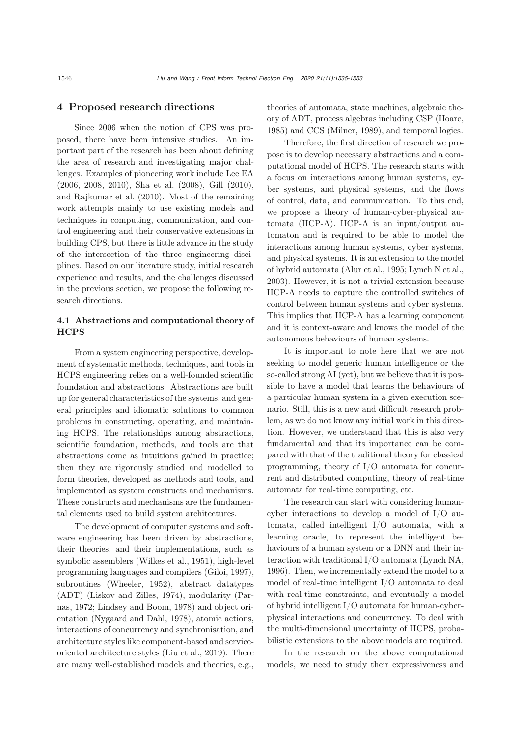## <span id="page-11-0"></span>4 Proposed research directions

Since 2006 when the notion of CPS was proposed, there have been intensive studies. An important part of the research has been about defining the area of research and investigating major challenges. Examples of pioneering work include [Lee EA](#page-17-2) [\(2006](#page-17-2), [2008,](#page-17-13) [2010\)](#page-17-3), [Sha et al.](#page-18-14) [\(2008\)](#page-18-14), [Gill](#page-17-1) [\(2010\)](#page-17-1), and [Rajkumar et al.](#page-18-1) [\(2010](#page-18-1)). Most of the remaining work attempts mainly to use existing models and techniques in computing, communication, and control engineering and their conservative extensions in building CPS, but there is little advance in the study of the intersection of the three engineering disciplines. Based on our literature study, initial research experience and results, and the challenges discussed in the previous section, we propose the following research directions.

# <span id="page-11-1"></span>4.1 Abstractions and computational theory of **HCPS**

From a system engineering perspective, development of systematic methods, techniques, and tools in HCPS engineering relies on a well-founded scientific foundation and abstractions. Abstractions are built up for general characteristics of the systems, and general principles and idiomatic solutions to common problems in constructing, operating, and maintaining HCPS. The relationships among abstractions, scientific foundation, methods, and tools are that abstractions come as intuitions gained in practice; then they are rigorously studied and modelled to form theories, developed as methods and tools, and implemented as system constructs and mechanisms. These constructs and mechanisms are the fundamental elements used to build system architectures.

The development of computer systems and software engineering has been driven by abstractions, their theories, and their implementations, such as symbolic assemblers [\(Wilkes et al.](#page-18-15), [1951](#page-18-15)), high-level programming languages and compilers [\(Giloi](#page-17-19), [1997\)](#page-17-19), subroutines [\(Wheeler, 1952](#page-18-16)), abstract datatypes (A[DT\)](#page-18-17) [\(Liskov and Zilles](#page-17-20)[,](#page-18-17) [1974](#page-17-20)[\),](#page-18-17) [modularity](#page-18-17) [\(](#page-18-17)Parnas, [1972;](#page-18-17) [Lindsey and Boom](#page-17-21), [1978](#page-17-21)) and object orientation [\(Nygaard and Dahl, 1978\)](#page-17-22), atomic actions, interactions of concurrency and synchronisation, and architecture styles like component-based and serviceoriented architecture styles [\(Liu et al.](#page-17-9), [2019](#page-17-9)). There are many well-established models and theories, e.g.,

theories of automata, state machines, algebraic theory of ADT, process algebras including CSP [\(Hoare](#page-17-23), [1985](#page-17-23)) and CCS [\(Milner](#page-17-24), [1989](#page-17-24)), and temporal logics.

Therefore, the first direction of research we propose is to develop necessary abstractions and a computational model of HCPS. The research starts with a focus on interactions among human systems, cyber systems, and physical systems, and the flows of control, data, and communication. To this end, we propose a theory of human-cyber-physical automata (HCP-A). HCP-A is an input/output automaton and is required to be able to model the interactions among human systems, cyber systems, and physical systems. It is an extension to the model of hybrid automata [\(Alur et al.](#page-16-5), [1995](#page-16-5); [Lynch N et al.](#page-17-25), [2003](#page-17-25)). However, it is not a trivial extension because HCP-A needs to capture the controlled switches of control between human systems and cyber systems. This implies that HCP-A has a learning component and it is context-aware and knows the model of the autonomous behaviours of human systems.

It is important to note here that we are not seeking to model generic human intelligence or the so-called strong AI (yet), but we believe that it is possible to have a model that learns the behaviours of a particular human system in a given execution scenario. Still, this is a new and difficult research problem, as we do not know any initial work in this direction. However, we understand that this is also very fundamental and that its importance can be compared with that of the traditional theory for classical programming, theory of I/O automata for concurrent and distributed computing, theory of real-time automata for real-time computing, etc.

The research can start with considering humancyber interactions to develop a model of I/O automata, called intelligent I/O automata, with a learning oracle, to represent the intelligent behaviours of a human system or a DNN and their interaction with traditional I/O automata [\(Lynch NA](#page-17-26), [1996](#page-17-26)). Then, we incrementally extend the model to a model of real-time intelligent I/O automata to deal with real-time constraints, and eventually a model of hybrid intelligent I/O automata for human-cyberphysical interactions and concurrency. To deal with the multi-dimensional uncertainty of HCPS, probabilistic extensions to the above models are required.

In the research on the above computational models, we need to study their expressiveness and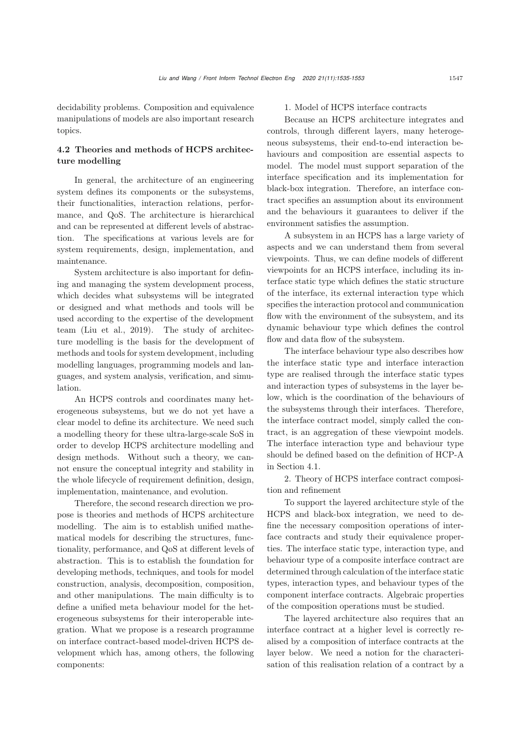decidability problems. Composition and equivalence manipulations of models are also important research topics.

# <span id="page-12-0"></span>4.2 Theories and methods of HCPS architecture modelling

In general, the architecture of an engineering system defines its components or the subsystems, their functionalities, interaction relations, performance, and QoS. The architecture is hierarchical and can be represented at different levels of abstraction. The specifications at various levels are for system requirements, design, implementation, and maintenance.

System architecture is also important for defining and managing the system development process, which decides what subsystems will be integrated or designed and what methods and tools will be used according to the expertise of the development team [\(Liu et al., 2019\)](#page-17-9). The study of architecture modelling is the basis for the development of methods and tools for system development, including modelling languages, programming models and languages, and system analysis, verification, and simulation.

An HCPS controls and coordinates many heterogeneous subsystems, but we do not yet have a clear model to define its architecture. We need such a modelling theory for these ultra-large-scale SoS in order to develop HCPS architecture modelling and design methods. Without such a theory, we cannot ensure the conceptual integrity and stability in the whole lifecycle of requirement definition, design, implementation, maintenance, and evolution.

Therefore, the second research direction we propose is theories and methods of HCPS architecture modelling. The aim is to establish unified mathematical models for describing the structures, functionality, performance, and QoS at different levels of abstraction. This is to establish the foundation for developing methods, techniques, and tools for model construction, analysis, decomposition, composition, and other manipulations. The main difficulty is to define a unified meta behaviour model for the heterogeneous subsystems for their interoperable integration. What we propose is a research programme on interface contract-based model-driven HCPS development which has, among others, the following components:

# 1. Model of HCPS interface contracts

Because an HCPS architecture integrates and controls, through different layers, many heterogeneous subsystems, their end-to-end interaction behaviours and composition are essential aspects to model. The model must support separation of the interface specification and its implementation for black-box integration. Therefore, an interface contract specifies an assumption about its environment and the behaviours it guarantees to deliver if the environment satisfies the assumption.

A subsystem in an HCPS has a large variety of aspects and we can understand them from several viewpoints. Thus, we can define models of different viewpoints for an HCPS interface, including its interface static type which defines the static structure of the interface, its external interaction type which specifies the interaction protocol and communication flow with the environment of the subsystem, and its dynamic behaviour type which defines the control flow and data flow of the subsystem.

The interface behaviour type also describes how the interface static type and interface interaction type are realised through the interface static types and interaction types of subsystems in the layer below, which is the coordination of the behaviours of the subsystems through their interfaces. Therefore, the interface contract model, simply called the contract, is an aggregation of these viewpoint models. The interface interaction type and behaviour type should be defined based on the definition of HCP-A in Section [4.1.](#page-11-1)

2. Theory of HCPS interface contract composition and refinement

To support the layered architecture style of the HCPS and black-box integration, we need to define the necessary composition operations of interface contracts and study their equivalence properties. The interface static type, interaction type, and behaviour type of a composite interface contract are determined through calculation of the interface static types, interaction types, and behaviour types of the component interface contracts. Algebraic properties of the composition operations must be studied.

The layered architecture also requires that an interface contract at a higher level is correctly realised by a composition of interface contracts at the layer below. We need a notion for the characterisation of this realisation relation of a contract by a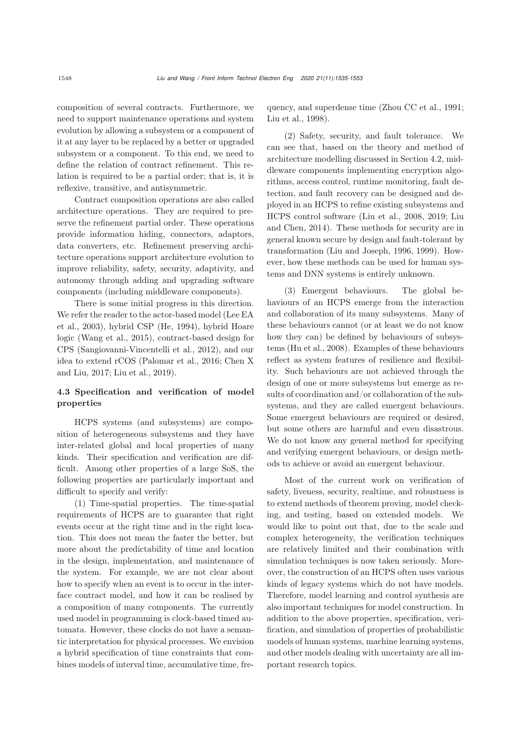composition of several contracts. Furthermore, we need to support maintenance operations and system evolution by allowing a subsystem or a component of it at any layer to be replaced by a better or upgraded subsystem or a component. To this end, we need to define the relation of contract refinement. This relation is required to be a partial order; that is, it is reflexive, transitive, and antisymmetric.

Contract composition operations are also called architecture operations. They are required to preserve the refinement partial order. These operations provide information hiding, connectors, adaptors, data converters, etc. Refinement preserving architecture operations support architecture evolution to improve reliability, safety, security, adaptivity, and autonomy through adding and upgrading software components (including middleware components).

There is some initial progress in this direction. We r[efer](#page-17-27) [the](#page-17-27) [reader](#page-17-27) [to](#page-17-27) [the](#page-17-27) [actor-based](#page-17-27) [model](#page-17-27) [\(](#page-17-27)Lee EA et al., [2003](#page-17-27)), hybrid CSP [\(He](#page-17-28), [1994](#page-17-28)), hybrid Hoare logic [\(Wang et al., 2015](#page-18-18)), contract-based design for CPS [\(Sangiovanni-Vincentelli et al., 2012](#page-18-19)), and our idea to [extend](#page-16-6) [rCOS](#page-16-6) [\(Palomar et al., 2016](#page-17-29)[;](#page-16-6) Chen X and Liu, [2017;](#page-16-6) [Liu et al., 2019](#page-17-9)).

# 4.3 Specification and verification of model properties

HCPS systems (and subsystems) are composition of heterogeneous subsystems and they have inter-related global and local properties of many kinds. Their specification and verification are difficult. Among other properties of a large SoS, the following properties are particularly important and difficult to specify and verify:

(1) Time-spatial properties. The time-spatial requirements of HCPS are to guarantee that right events occur at the right time and in the right location. This does not mean the faster the better, but more about the predictability of time and location in the design, implementation, and maintenance of the system. For example, we are not clear about how to specify when an event is to occur in the interface contract model, and how it can be realised by a composition of many components. The currently used model in programming is clock-based timed automata. However, these clocks do not have a semantic interpretation for physical processes. We envision a hybrid specification of time constraints that combines models of interval time, accumulative time, frequency, and superdense time [\(Zhou CC et al., 1991;](#page-18-20) [Liu et al., 1998](#page-17-30)).

(2) Safety, security, and fault tolerance. We can see that, based on the theory and method of architecture modelling discussed in Section [4.2,](#page-12-0) middleware components implementing encryption algorithms, access control, runtime monitoring, fault detection, and fault recovery can be designed and deployed in an HCPS to refine existing subsystems and HCPS control software [\(Liu et al.](#page-17-31), [2008](#page-17-31), [2019](#page-17-9); Liu and Chen, [2014](#page-17-17)). These methods for security are in general known secure by design and fault-tolerant by transformation [\(Liu and Joseph, 1996,](#page-17-7) [1999\)](#page-17-8). However, how these methods can be used for human systems and DNN systems is entirely unknown.

(3) Emergent behaviours. The global behaviours of an HCPS emerge from the interaction and collaboration of its many subsystems. Many of these behaviours cannot (or at least we do not know how they can) be defined by behaviours of subsystems [\(Hu et al.](#page-17-14), [2008\)](#page-17-14). Examples of these behaviours reflect as system features of resilience and flexibility. Such behaviours are not achieved through the design of one or more subsystems but emerge as results of coordination and/or collaboration of the subsystems, and they are called emergent behaviours. Some emergent behaviours are required or desired, but some others are harmful and even disastrous. We do not know any general method for specifying and verifying emergent behaviours, or design methods to achieve or avoid an emergent behaviour.

Most of the current work on verification of safety, liveness, security, realtime, and robustness is to extend methods of theorem proving, model checking, and testing, based on extended models. We would like to point out that, due to the scale and complex heterogeneity, the verification techniques are relatively limited and their combination with simulation techniques is now taken seriously. Moreover, the construction of an HCPS often uses various kinds of legacy systems which do not have models. Therefore, model learning and control synthesis are also important techniques for model construction. In addition to the above properties, specification, verification, and simulation of properties of probabilistic models of human systems, machine learning systems, and other models dealing with uncertainty are all important research topics.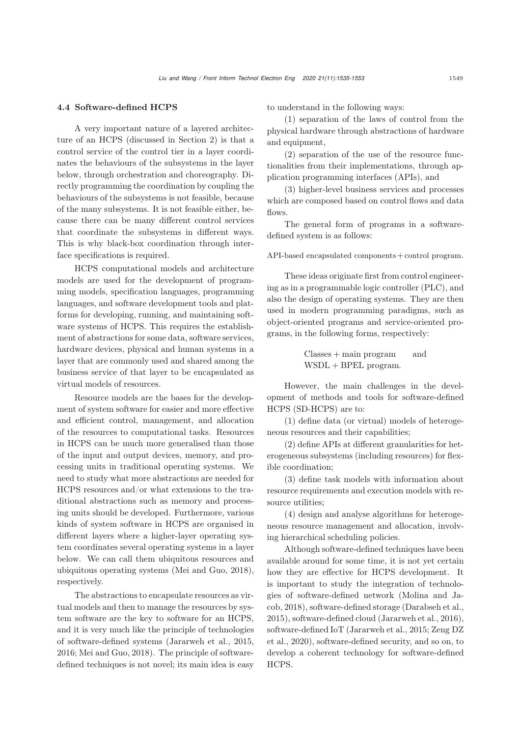## 4.4 Software-defined HCPS

A very important nature of a layered architecture of an HCPS (discussed in Section [2\)](#page-1-0) is that a control service of the control tier in a layer coordinates the behaviours of the subsystems in the layer below, through orchestration and choreography. Directly programming the coordination by coupling the behaviours of the subsystems is not feasible, because of the many subsystems. It is not feasible either, because there can be many different control services that coordinate the subsystems in different ways. This is why black-box coordination through interface specifications is required.

HCPS computational models and architecture models are used for the development of programming models, specification languages, programming languages, and software development tools and platforms for developing, running, and maintaining software systems of HCPS. This requires the establishment of abstractions for some data, software services, hardware devices, physical and human systems in a layer that are commonly used and shared among the business service of that layer to be encapsulated as virtual models of resources.

Resource models are the bases for the development of system software for easier and more effective and efficient control, management, and allocation of the resources to computational tasks. Resources in HCPS can be much more generalised than those of the input and output devices, memory, and processing units in traditional operating systems. We need to study what more abstractions are needed for HCPS resources and/or what extensions to the traditional abstractions such as memory and processing units should be developed. Furthermore, various kinds of system software in HCPS are organised in different layers where a higher-layer operating system coordinates several operating systems in a layer below. We can call them ubiquitous resources and ubiquitous operating systems [\(Mei and Guo](#page-17-18), [2018\)](#page-17-18), respectively.

The abstractions to encapsulate resources as virtual models and then to manage the resources by system software are the key to software for an HCPS, and it is very much like the principle of technologies of software-defined systems [\(Jararweh et al., 2015,](#page-17-32) [2016](#page-17-33); [Mei and Guo, 2018\)](#page-17-18). The principle of softwaredefined techniques is not novel; its main idea is easy

to understand in the following ways:

(1) separation of the laws of control from the physical hardware through abstractions of hardware and equipment.

(2) separation of the use of the resource functionalities from their implementations, through application programming interfaces (APIs), and

(3) higher-level business services and processes which are composed based on control flows and data flows.

The general form of programs in a softwaredefined system is as follows:

API-based encapsulated components+control program*.*

These ideas originate first from control engineering as in a programmable logic controller (PLC), and also the design of operating systems. They are then used in modern programming paradigms, such as object-oriented programs and service-oriented programs, in the following forms, respectively:

> Classes + main program and WSDL + BPEL program*.*

However, the main challenges in the development of methods and tools for software-defined HCPS (SD-HCPS) are to:

(1) define data (or virtual) models of heterogeneous resources and their capabilities;

(2) define APIs at different granularities for heterogeneous subsystems (including resources) for flexible coordination;

(3) define task models with information about resource requirements and execution models with resource utilities;

(4) design and analyse algorithms for heterogeneous resource management and allocation, involving hierarchical scheduling policies.

Although software-defined techniques have been available around for some time, it is not yet certain how they are effective for HCPS development. It is important to study the integration of technologie[s](#page-17-34) [of](#page-17-34) [software-defined](#page-17-34) [network](#page-17-34) [\(](#page-17-34)Molina and Jacob, [2018](#page-17-34)), software-defined storage [\(Darabseh et al.](#page-16-7), [2015](#page-16-7)), software-defined cloud [\(Jararweh et al., 2016\)](#page-17-33), soft[ware-defined](#page-18-21) [IoT](#page-18-21) [\(Jararweh et al.](#page-17-32)[,](#page-18-21) [2015](#page-17-32)[;](#page-18-21) Zeng DZ et al., [2020\)](#page-18-21), software-defined security, and so on, to develop a coherent technology for software-defined HCPS.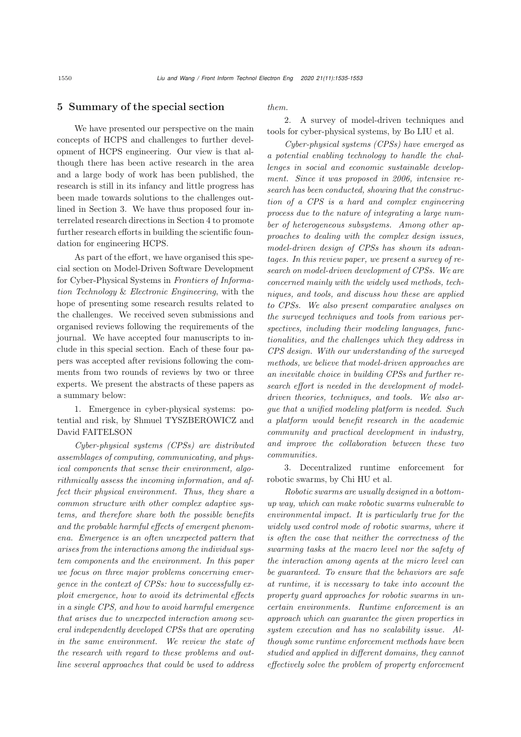## <span id="page-15-0"></span>5 Summary of the special section

We have presented our perspective on the main concepts of HCPS and challenges to further development of HCPS engineering. Our view is that although there has been active research in the area and a large body of work has been published, the research is still in its infancy and little progress has been made towards solutions to the challenges outlined in Section [3.](#page-7-0) We have thus proposed four interrelated research directions in Section [4](#page-11-0) to promote further research efforts in building the scientific foundation for engineering HCPS.

As part of the effort, we have organised this special section on Model-Driven Software Development for Cyber-Physical Systems in *Frontiers of Information Technology* & *Electronic Engineering*, with the hope of presenting some research results related to the challenges. We received seven submissions and organised reviews following the requirements of the journal. We have accepted four manuscripts to include in this special section. Each of these four papers was accepted after revisions following the comments from two rounds of reviews by two or three experts. We present the abstracts of these papers as a summary below:

1. Emergence in cyber-physical systems: potential and risk, by Shmuel TYSZBEROWICZ and David FAITELSON

*Cyber-physical systems (CPSs) are distributed assemblages of computing, communicating, and physical components that sense their environment, algorithmically assess the incoming information, and affect their physical environment. Thus, they share a common structure with other complex adaptive systems, and therefore share both the possible benefits and the probable harmful effects of emergent phenomena. Emergence is an often unexpected pattern that arises from the interactions among the individual system components and the environment. In this paper we focus on three major problems concerning emergence in the context of CPSs: how to successfully exploit emergence, how to avoid its detrimental effects in a single CPS, and how to avoid harmful emergence that arises due to unexpected interaction among several independently developed CPSs that are operating in the same environment. We review the state of the research with regard to these problems and outline several approaches that could be used to address*

*them.*

2. A survey of model-driven techniques and tools for cyber-physical systems, by Bo LIU et al.

*Cyber-physical systems (CPSs) have emerged as a potential enabling technology to handle the challenges in social and economic sustainable development. Since it was proposed in 2006, intensive research has been conducted, showing that the construction of a CPS is a hard and complex engineering process due to the nature of integrating a large number of heterogeneous subsystems. Among other approaches to dealing with the complex design issues, model-driven design of CPSs has shown its advantages. In this review paper, we present a survey of research on model-driven development of CPSs. We are concerned mainly with the widely used methods, techniques, and tools, and discuss how these are applied to CPSs. We also present comparative analyses on the surveyed techniques and tools from various perspectives, including their modeling languages, functionalities, and the challenges which they address in CPS design. With our understanding of the surveyed methods, we believe that model-driven approaches are an inevitable choice in building CPSs and further research effort is needed in the development of modeldriven theories, techniques, and tools. We also argue that a unified modeling platform is needed. Such a platform would benefit research in the academic community and practical development in industry, and improve the collaboration between these two communities.*

3. Decentralized runtime enforcement for robotic swarms, by Chi HU et al.

*Robotic swarms are usually designed in a bottomup way, which can make robotic swarms vulnerable to environmental impact. It is particularly true for the widely used control mode of robotic swarms, where it is often the case that neither the correctness of the swarming tasks at the macro level nor the safety of the interaction among agents at the micro level can be guaranteed. To ensure that the behaviors are safe at runtime, it is necessary to take into account the property guard approaches for robotic swarms in uncertain environments. Runtime enforcement is an approach which can guarantee the given properties in system execution and has no scalability issue. Although some runtime enforcement methods have been studied and applied in different domains, they cannot effectively solve the problem of property enforcement*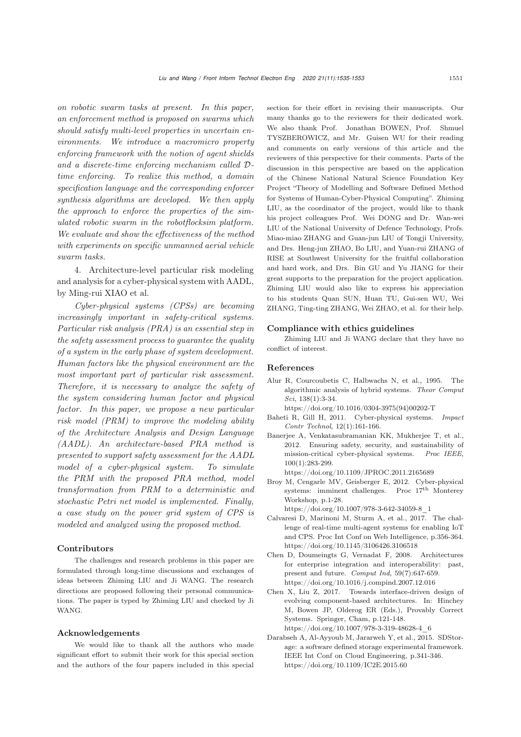*on robotic swarm tasks at present. In this paper, an enforcement method is proposed on swarms which should satisfy multi-level properties in uncertain environments. We introduce a macromicro property enforcing framework with the notion of agent shields and a discrete-time enforcing mechanism called Dtime enforcing. To realize this method, a domain specification language and the corresponding enforcer synthesis algorithms are developed. We then apply the approach to enforce the properties of the simulated robotic swarm in the robotflocksim platform. We evaluate and show the effectiveness of the method with experiments on specific unmanned aerial vehicle swarm tasks.*

4. Architecture-level particular risk modeling and analysis for a cyber-physical system with AADL, by Ming-rui XIAO et al.

*Cyber-physical systems (CPSs) are becoming increasingly important in safety-critical systems. Particular risk analysis (PRA) is an essential step in the safety assessment process to guarantee the quality of a system in the early phase of system development. Human factors like the physical environment are the most important part of particular risk assessment. Therefore, it is necessary to analyze the safety of the system considering human factor and physical factor. In this paper, we propose a new particular risk model (PRM) to improve the modeling ability of the Architecture Analysis and Design Language (AADL). An architecture-based PRA method is presented to support safety assessment for the AADL model of a cyber-physical system. To simulate the PRM with the proposed PRA method, model transformation from PRM to a deterministic and stochastic Petri net model is implemented. Finally, a case study on the power grid system of CPS is modeled and analyzed using the proposed method.*

## Contributors

The challenges and research problems in this paper are formulated through long-time discussions and exchanges of ideas between Zhiming LIU and Ji WANG. The research directions are proposed following their personal communications. The paper is typed by Zhiming LIU and checked by Ji WANG.

#### Acknowledgements

We would like to thank all the authors who made significant effort to submit their work for this special section and the authors of the four papers included in this special section for their effort in revising their manuscripts. Our many thanks go to the reviewers for their dedicated work. We also thank Prof. Jonathan BOWEN, Prof. Shmuel TYSZBEROWICZ, and Mr. Guisen WU for their reading and comments on early versions of this article and the reviewers of this perspective for their comments. Parts of the discussion in this perspective are based on the application of the Chinese National Natural Science Foundation Key Project "Theory of Modelling and Software Defined Method for Systems of Human-Cyber-Physical Computing". Zhiming LIU, as the coordinator of the project, would like to thank his project colleagues Prof. Wei DONG and Dr. Wan-wei LIU of the National University of Defence Technology, Profs. Miao-miao ZHANG and Guan-jun LIU of Tongji University, and Drs. Heng-jun ZHAO, Bo LIU, and Yuan-rui ZHANG of RISE at Southwest University for the fruitful collaboration and hard work, and Drs. Bin GU and Yu JIANG for their great supports to the preparation for the project application. Zhiming LIU would also like to express his appreciation to his students Quan SUN, Huan TU, Gui-sen WU, Wei ZHANG, Ting-ting ZHANG, Wei ZHAO, et al. for their help.

## Compliance with ethics guidelines

Zhiming LIU and Ji WANG declare that they have no conflict of interest.

## References

<span id="page-16-5"></span>Alur R, Courcoubetis C, Halbwachs N, et al., 1995. The algorithmic analysis of hybrid systems. *Theor Comput Sci*, 138(1):3-34.

https://doi.org/10.1016/0304-3975(94)00202-T

- <span id="page-16-0"></span>Baheti R, Gill H, 2011. Cyber-physical systems. *Impact Contr Technol*, 12(1):161-166.
- <span id="page-16-1"></span>Banerjee A, Venkatasubramanian KK, Mukherjee T, et al., 2012. Ensuring safety, security, and sustainability of mission-critical cyber-physical systems. *Proc IEEE*, 100(1):283-299.

https://doi.org/10.1109/JPROC.2011.2165689

<span id="page-16-2"></span>Broy M, Cengarle MV, Geisberger E, 2012. Cyber-physical systems: imminent challenges. Proc 17<sup>th</sup> Monterey Workshop, p.1-28.

https://doi.org/10.1007/978-3-642-34059-8\_1

- <span id="page-16-4"></span>Calvaresi D, Marinoni M, Sturm A, et al., 2017. The challenge of real-time multi-agent systems for enabling IoT and CPS. Proc Int Conf on Web Intelligence, p.356-364. https://doi.org/10.1145/3106426.3106518
- <span id="page-16-3"></span>Chen D, Doumeingts G, Vernadat F, 2008. Architectures for enterprise integration and interoperability: past, present and future. *Comput Ind*, 59(7):647-659. https://doi.org/10.1016/j.compind.2007.12.016
- <span id="page-16-6"></span>Chen X, Liu Z, 2017. Towards interface-driven design of evolving component-based architectures. In: Hinchey M, Bowen JP, Olderog ER (Eds.), Provably Correct Systems. Springer, Cham, p.121-148. https://doi.org/10.1007/978-3-319-48628-4\_6
- <span id="page-16-7"></span>Darabseh A, Al-Ayyoub M, Jararweh Y, et al., 2015. SDStorage: a software defined storage experimental framework. IEEE Int Conf on Cloud Engineering, p.341-346. https://doi.org/10.1109/IC2E.2015.60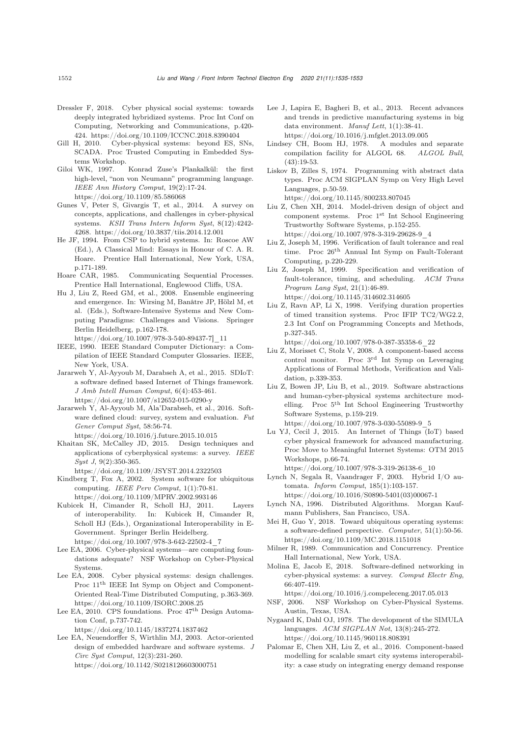- <span id="page-17-12"></span>Dressler F, 2018. Cyber physical social systems: towards deeply integrated hybridized systems. Proc Int Conf on Computing, Networking and Communications, p.420- 424. https://doi.org/10.1109/ICCNC.2018.8390404<br>Gill H. 2010. Cyber-physical systems: beyond ES,  $\,$
- <span id="page-17-1"></span>Cyber-physical systems: beyond ES, SNs, SCADA. Proc Trusted Computing in Embedded Systems Workshop.<br>Giloi WK, 1997.
- <span id="page-17-19"></span>Konrad Zuse's Plankalkül: the first high-level, "non von Neumann" programming language. *IEEE Ann History Comput*, 19(2):17-24. https://doi.org/10.1109/85.586068
- <span id="page-17-4"></span>Gunes V, Peter S, Givargis T, et al., 2014. A survey on concepts, applications, and challenges in cyber-physical systems. *KSII Trans Intern Inform Syst*, 8(12):4242- 4268. https://doi.org/10.3837/tiis.2014.12.001
- <span id="page-17-28"></span>He JF, 1994. From CSP to hybrid systems. In: Roscoe AW (Ed.), A Classical Mind: Essays in Honour of C. A. R. Hoare. Prentice Hall International, New York, USA,
- <span id="page-17-23"></span>p.171-189.<br>Hoare CAR, 1985. Communicating Sequential Processes. Prentice Hall International, Englewood Cliffs, USA.
- <span id="page-17-14"></span>Hu J, Liu Z, Reed GM, et al., 2008. Ensemble engineering and emergence. In: Wirsing M, Banâtre JP, Hölzl M, et al. (Eds.), Software-Intensive Systems and New Computing Paradigms: Challenges and Visions. Springer Berlin Heidelberg, p.162-178.
	- https://doi.org/10.1007/978-3-540-89437-7]\_11
- <span id="page-17-15"></span>IEEE, 1990. IEEE Standard Computer Dictionary: a Compilation of IEEE Standard Computer Glossaries. IEEE, New York, USA.
- <span id="page-17-32"></span>Jararweh Y, Al-Ayyoub M, Darabseh A, et al., 2015. SDIoT: a software defined based Internet of Things framework. *J Amb Intell Human Comput*, 6(4):453-461. https://doi.org/10.1007/s12652-015-0290-y
- <span id="page-17-33"></span>Jararweh Y, Al-Ayyoub M, Ala'Darabseh, et al., 2016. Software defined cloud: survey, system and evaluation. *Fut Gener Comput Syst*, 58:56-74.

https://doi.org/10.1016/j.future.2015.10.015

- <span id="page-17-5"></span>Khaitan SK, McCalley JD, 2015. Design techniques and applications of cyberphysical systems: a survey. *IEEE Syst J*, 9(2):350-365.
	- https://doi.org/10.1109/JSYST.2014.2322503
- <span id="page-17-10"></span>Kindberg T, Fox A, 2002. System software for ubiquitous computing. *IEEE Perv Comput*, 1(1):70-81. https://doi.org/10.1109/MPRV.2002.993146
- <span id="page-17-16"></span>Kubicek H, Cimander R, Scholl HJ, 2011. Layers
- of interoperability. In: Kubicek H, Cimander R, Scholl HJ (Eds.), Organizational Interoperability in E-Government. Springer Berlin Heidelberg. https://doi.org/10.1007/978-3-642-22502-4\_7
- <span id="page-17-2"></span>Lee EA, 2006. Cyber-physical systems—are computing foundations adequate? NSF Workshop on Cyber-Physical Systems.
- <span id="page-17-13"></span>Lee EA, 2008. Cyber physical systems: design challenges. Proc 11th IEEE Int Symp on Object and Component-Oriented Real-Time Distributed Computing, p.363-369. https://doi.org/10.1109/ISORC.2008.25
- <span id="page-17-3"></span>Lee EA, 2010. CPS foundations. Proc 47<sup>th</sup> Design Automation Conf, p.737-742.

https://doi.org/10.1145/1837274.1837462

<span id="page-17-27"></span>Lee EA, Neuendorffer S, Wirthlin MJ, 2003. Actor-oriented design of embedded hardware and software systems. *J Circ Syst Comput*, 12(3):231-260. https://doi.org/10.1142/S0218126603000751

- <span id="page-17-6"></span>Lee J, Lapira E, Bagheri B, et al., 2013. Recent advances and trends in predictive manufacturing systems in big data environment. *Manuf Lett*, 1(1):38-41. https://doi.org/10.1016/j.mfglet.2013.09.005
- <span id="page-17-21"></span>Lindsey CH, Boom HJ, 1978. A modules and separate compilation facility for ALGOL 68. *ALGOL Bull*,  $(43):19-53.$
- <span id="page-17-20"></span>Liskov B, Zilles S, 1974. Programming with abstract data types. Proc ACM SIGPLAN Symp on Very High Level Languages, p.50-59.

https://doi.org/10.1145/800233.807045

- <span id="page-17-17"></span>Liu Z, Chen XH, 2014. Model-driven design of object and component systems. Proc 1st Int School Engineering Trustworthy Software Systems, p.152-255. https://doi.org/10.1007/978-3-319-29628-9\_4
- <span id="page-17-7"></span>Liu Z, Joseph M, 1996. Verification of fault tolerance and real time. Proc  $26<sup>th</sup>$  Annual Int Symp on Fault-Tolerant Computing, p.220-229.
- <span id="page-17-8"></span>Liu Z, Joseph M, 1999. Specification and verification of fault-tolerance, timing, and scheduling. *ACM Trans Program Lang Syst*, 21(1):46-89. https://doi.org/10.1145/314602.314605
- <span id="page-17-30"></span>Liu Z, Ravn AP, Li X, 1998. Verifying duration properties of timed transition systems. Proc IFIP TC2/WG2.2, 2.3 Int Conf on Programming Concepts and Methods, p.327-345.

https://doi.org/10.1007/978-0-387-35358-6\_22

- <span id="page-17-31"></span>Liu Z, Morisset C, Stolz V, 2008. A component-based access control monitor. Proc 3rd Int Symp on Leveraging Applications of Formal Methods, Verification and Validation, p.339-353.
- <span id="page-17-9"></span>Liu Z, Bowen JP, Liu B, et al., 2019. Software abstractions and human-cyber-physical systems architecture modelling. Proc 5th Int School Engineering Trustworthy Software Systems, p.159-219. https://doi.org/10.1007/978-3-030-55089-9\_5
- <span id="page-17-11"></span>Lu YJ, Cecil J, 2015. An Internet of Things (IoT) based cyber physical framework for advanced manufacturing.
- Proc Move to Meaningful Internet Systems: OTM 2015 Workshops, p.66-74.

https://doi.org/10.1007/978-3-319-26138-6\_10

- <span id="page-17-25"></span>Lynch N, Segala R, Vaandrager F, 2003. Hybrid I/O automata. *Inform Comput*, 185(1):103-157. https://doi.org/10.1016/S0890-5401(03)00067-1
- <span id="page-17-26"></span>Lynch NA, 1996. Distributed Algorithms. Morgan Kaufmann Publishers, San Francisco, USA.
- <span id="page-17-18"></span>Mei H, Guo Y, 2018. Toward ubiquitous operating systems: a software-defined perspective. *Computer*, 51(1):50-56. https://doi.org/10.1109/MC.2018.1151018
- <span id="page-17-24"></span>Milner R, 1989. Communication and Concurrency. Prentice Hall International, New York, USA.
- <span id="page-17-34"></span>Molina E, Jacob E, 2018. Software-defined networking in cyber-physical systems: a survey. *Comput Electr Eng*, 66:407-419.

https://doi.org/10.1016/j.compeleceng.2017.05.013

- <span id="page-17-0"></span>NSF, 2006. NSF Workshop on Cyber-Physical Systems. Austin, Texas, USA.
- <span id="page-17-22"></span>Nygaard K, Dahl OJ, 1978. The development of the SIMULA languages. *ACM SIGPLAN Not*, 13(8):245-272. https://doi.org/10.1145/960118.808391
- <span id="page-17-29"></span>Palomar E, Chen XH, Liu Z, et al., 2016. Component-based modelling for scalable smart city systems interoperability: a case study on integrating energy demand response